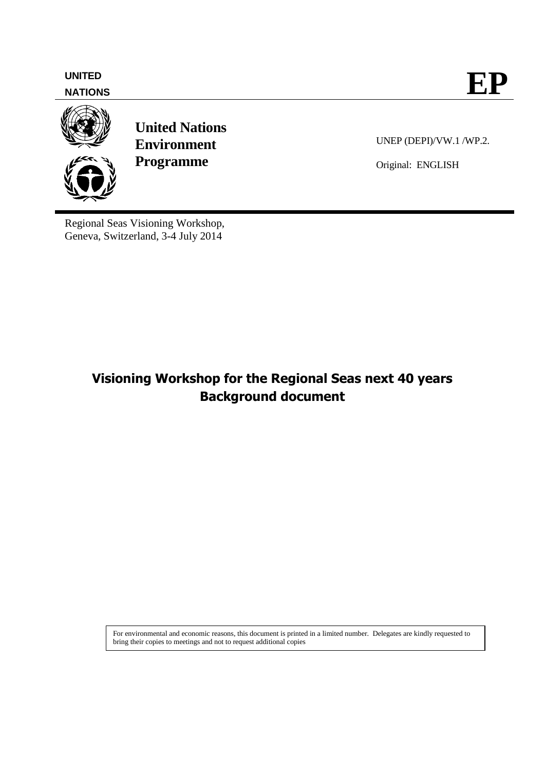**NATIONS**



**United Nations Environment Programme**

UNEP (DEPI)/VW.1 /WP.2.

Original: ENGLISH

Regional Seas Visioning Workshop, Geneva, Switzerland, 3-4 July 2014

# **Visioning Workshop for the Regional Seas next 40 years Background document**

For environmental and economic reasons, this document is printed in a limited number. Delegates are kindly requested to bring their copies to meetings and not to request additional copies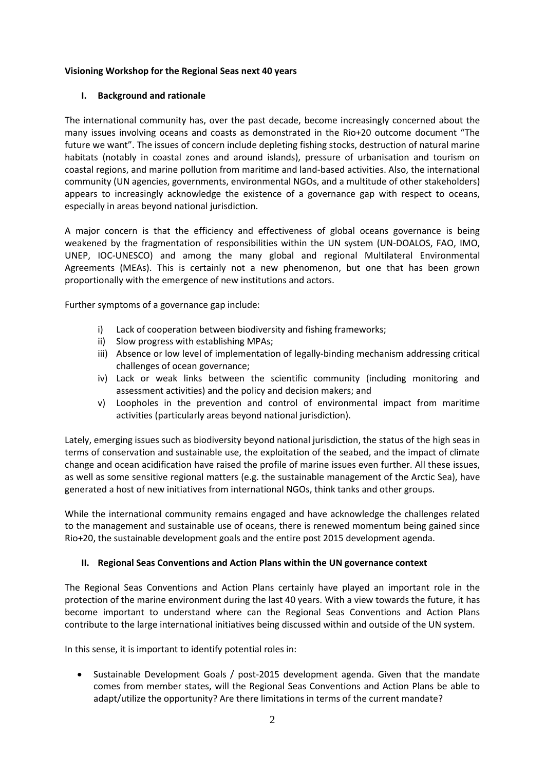# **Visioning Workshop for the Regional Seas next 40 years**

## **I. Background and rationale**

The international community has, over the past decade, become increasingly concerned about the many issues involving oceans and coasts as demonstrated in the Rio+20 outcome document "The future we want". The issues of concern include depleting fishing stocks, destruction of natural marine habitats (notably in coastal zones and around islands), pressure of urbanisation and tourism on coastal regions, and marine pollution from maritime and land-based activities. Also, the international community (UN agencies, governments, environmental NGOs, and a multitude of other stakeholders) appears to increasingly acknowledge the existence of a governance gap with respect to oceans, especially in areas beyond national jurisdiction.

A major concern is that the efficiency and effectiveness of global oceans governance is being weakened by the fragmentation of responsibilities within the UN system (UN-DOALOS, FAO, IMO, UNEP, IOC-UNESCO) and among the many global and regional Multilateral Environmental Agreements (MEAs). This is certainly not a new phenomenon, but one that has been grown proportionally with the emergence of new institutions and actors.

Further symptoms of a governance gap include:

- i) Lack of cooperation between biodiversity and fishing frameworks;
- ii) Slow progress with establishing MPAs;
- iii) Absence or low level of implementation of legally-binding mechanism addressing critical challenges of ocean governance;
- iv) Lack or weak links between the scientific community (including monitoring and assessment activities) and the policy and decision makers; and
- v) Loopholes in the prevention and control of environmental impact from maritime activities (particularly areas beyond national jurisdiction).

Lately, emerging issues such as biodiversity beyond national jurisdiction, the status of the high seas in terms of conservation and sustainable use, the exploitation of the seabed, and the impact of climate change and ocean acidification have raised the profile of marine issues even further. All these issues, as well as some sensitive regional matters (e.g. the sustainable management of the Arctic Sea), have generated a host of new initiatives from international NGOs, think tanks and other groups.

While the international community remains engaged and have acknowledge the challenges related to the management and sustainable use of oceans, there is renewed momentum being gained since Rio+20, the sustainable development goals and the entire post 2015 development agenda.

#### **II. Regional Seas Conventions and Action Plans within the UN governance context**

The Regional Seas Conventions and Action Plans certainly have played an important role in the protection of the marine environment during the last 40 years. With a view towards the future, it has become important to understand where can the Regional Seas Conventions and Action Plans contribute to the large international initiatives being discussed within and outside of the UN system.

In this sense, it is important to identify potential roles in:

 Sustainable Development Goals / post-2015 development agenda. Given that the mandate comes from member states, will the Regional Seas Conventions and Action Plans be able to adapt/utilize the opportunity? Are there limitations in terms of the current mandate?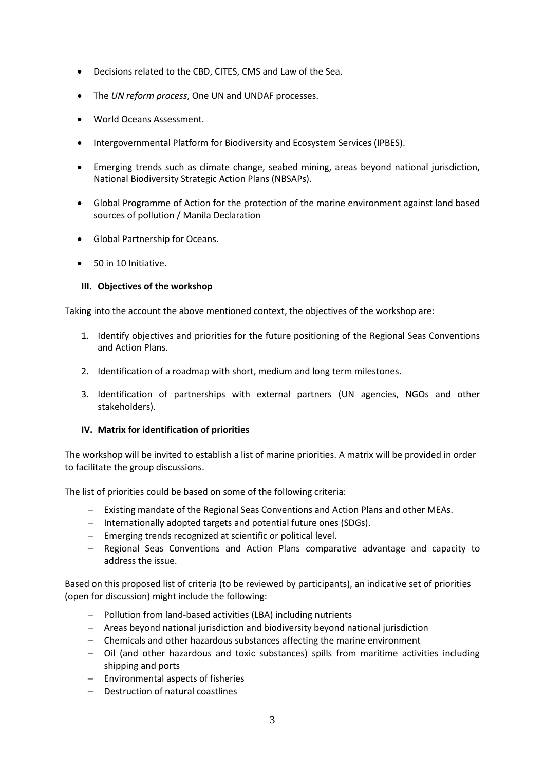- Decisions related to the CBD, CITES, CMS and Law of the Sea.
- The *UN reform process*, One UN and UNDAF processes.
- World Oceans Assessment.
- Intergovernmental Platform for Biodiversity and Ecosystem Services (IPBES).
- Emerging trends such as climate change, seabed mining, areas beyond national jurisdiction, National Biodiversity Strategic Action Plans (NBSAPs).
- Global Programme of Action for the protection of the marine environment against land based sources of pollution / Manila Declaration
- Global Partnership for Oceans.
- 50 in 10 Initiative.

# **III. Objectives of the workshop**

Taking into the account the above mentioned context, the objectives of the workshop are:

- 1. Identify objectives and priorities for the future positioning of the Regional Seas Conventions and Action Plans.
- 2. Identification of a roadmap with short, medium and long term milestones.
- 3. Identification of partnerships with external partners (UN agencies, NGOs and other stakeholders).

# **IV. Matrix for identification of priorities**

The workshop will be invited to establish a list of marine priorities. A matrix will be provided in order to facilitate the group discussions.

The list of priorities could be based on some of the following criteria:

- Existing mandate of the Regional Seas Conventions and Action Plans and other MEAs.
- Internationally adopted targets and potential future ones (SDGs).
- Emerging trends recognized at scientific or political level.
- Regional Seas Conventions and Action Plans comparative advantage and capacity to address the issue.

Based on this proposed list of criteria (to be reviewed by participants), an indicative set of priorities (open for discussion) might include the following:

- Pollution from land-based activities (LBA) including nutrients
- Areas beyond national jurisdiction and biodiversity beyond national jurisdiction
- Chemicals and other hazardous substances affecting the marine environment
- Oil (and other hazardous and toxic substances) spills from maritime activities including shipping and ports
- $-$  Environmental aspects of fisheries
- Destruction of natural coastlines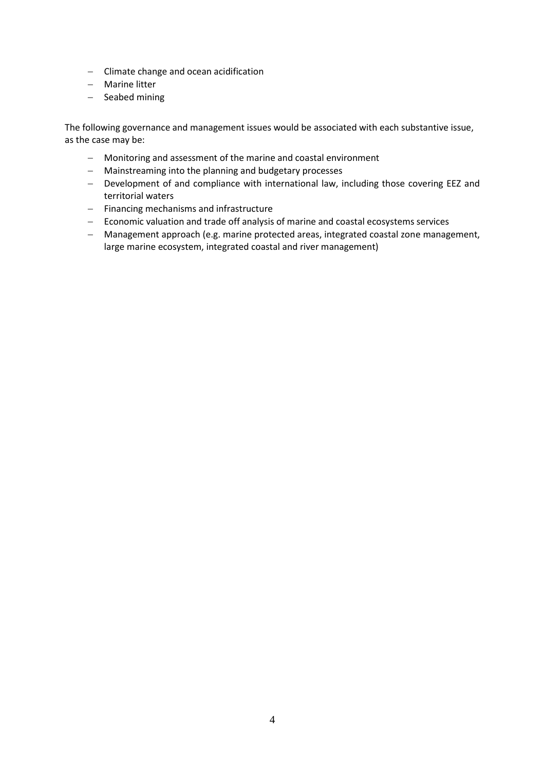- Climate change and ocean acidification
- Marine litter
- $-$  Seabed mining

The following governance and management issues would be associated with each substantive issue, as the case may be:

- Monitoring and assessment of the marine and coastal environment
- Mainstreaming into the planning and budgetary processes
- Development of and compliance with international law, including those covering EEZ and territorial waters
- Financing mechanisms and infrastructure
- Economic valuation and trade off analysis of marine and coastal ecosystems services
- Management approach (e.g. marine protected areas, integrated coastal zone management, large marine ecosystem, integrated coastal and river management)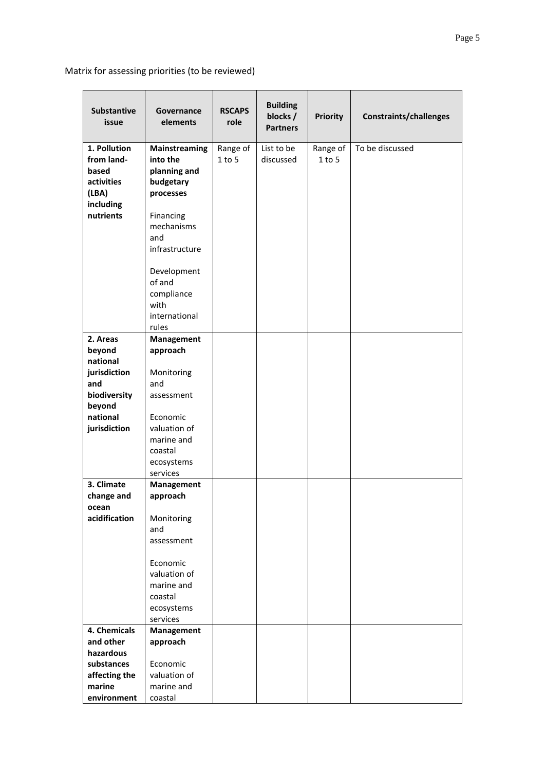Matrix for assessing priorities (to be reviewed)

| <b>Substantive</b><br>issue                                                                                 | Governance<br>elements                                                                                                                                                 | <b>RSCAPS</b><br>role | <b>Building</b><br>blocks /<br><b>Partners</b> | <b>Priority</b>        | <b>Constraints/challenges</b> |
|-------------------------------------------------------------------------------------------------------------|------------------------------------------------------------------------------------------------------------------------------------------------------------------------|-----------------------|------------------------------------------------|------------------------|-------------------------------|
| 1. Pollution<br>from land-<br>based<br>activities<br>(LBA)<br>including<br>nutrients                        | Mainstreaming<br>into the<br>planning and<br>budgetary<br>processes<br>Financing<br>mechanisms<br>and<br>infrastructure<br>Development<br>of and<br>compliance<br>with | Range of<br>$1$ to 5  | List to be<br>discussed                        | Range of<br>$1$ to $5$ | To be discussed               |
|                                                                                                             | international<br>rules                                                                                                                                                 |                       |                                                |                        |                               |
| 2. Areas<br>beyond<br>national<br>jurisdiction<br>and<br>biodiversity<br>beyond<br>national<br>jurisdiction | Management<br>approach<br>Monitoring<br>and<br>assessment<br>Economic<br>valuation of<br>marine and<br>coastal<br>ecosystems<br>services                               |                       |                                                |                        |                               |
| 3. Climate<br>change and                                                                                    | Management<br>approach                                                                                                                                                 |                       |                                                |                        |                               |
| ocean<br>acidification                                                                                      | Monitoring<br>and<br>assessment<br>Economic<br>valuation of<br>marine and<br>coastal<br>ecosystems<br>services                                                         |                       |                                                |                        |                               |
| 4. Chemicals                                                                                                | Management                                                                                                                                                             |                       |                                                |                        |                               |
| and other<br>hazardous                                                                                      | approach                                                                                                                                                               |                       |                                                |                        |                               |
| substances                                                                                                  | Economic                                                                                                                                                               |                       |                                                |                        |                               |
| affecting the                                                                                               | valuation of                                                                                                                                                           |                       |                                                |                        |                               |
| marine                                                                                                      | marine and                                                                                                                                                             |                       |                                                |                        |                               |
| environment                                                                                                 | coastal                                                                                                                                                                |                       |                                                |                        |                               |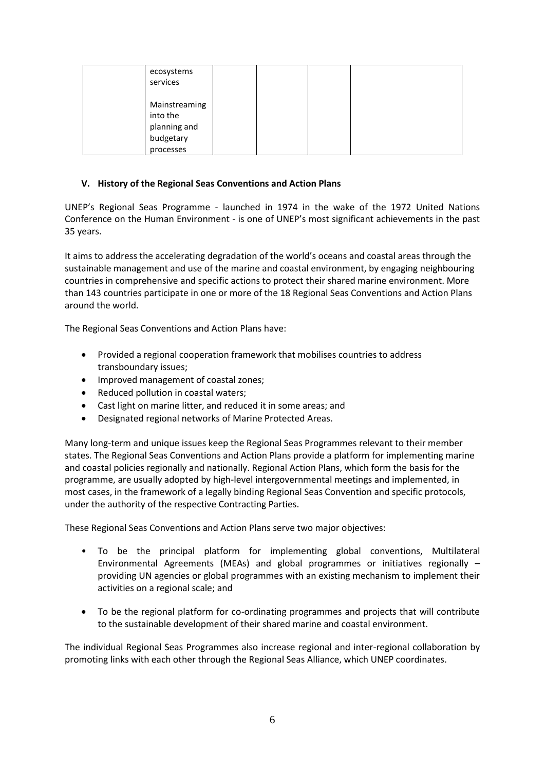| ecosystems<br>services                                              |  |  |
|---------------------------------------------------------------------|--|--|
| Mainstreaming<br>into the<br>planning and<br>budgetary<br>processes |  |  |

# **V. History of the Regional Seas Conventions and Action Plans**

UNEP's Regional Seas Programme - launched in 1974 in the wake of the 1972 United Nations Conference on the Human Environment - is one of UNEP's most significant achievements in the past 35 years.

It aims to address the accelerating degradation of the world's oceans and coastal areas through the sustainable management and use of the marine and coastal environment, by engaging neighbouring countries in comprehensive and specific actions to protect their shared marine environment. More than 143 countries participate in one or more of the 18 Regional Seas Conventions and Action Plans around the world.

The Regional Seas Conventions and Action Plans have:

- Provided a regional cooperation framework that mobilises countries to address transboundary issues;
- Improved management of coastal zones;
- Reduced pollution in coastal waters;
- Cast light on marine litter, and reduced it in some areas; and
- Designated regional networks of Marine Protected Areas.

Many long-term and unique issues keep the Regional Seas Programmes relevant to their member states. The Regional Seas Conventions and Action Plans provide a platform for implementing marine and coastal policies regionally and nationally. Regional Action Plans, which form the basis for the programme, are usually adopted by high-level intergovernmental meetings and implemented, in most cases, in the framework of a legally binding Regional Seas Convention and specific protocols, under the authority of the respective Contracting Parties.

These Regional Seas Conventions and Action Plans serve two major objectives:

- To be the principal platform for implementing global conventions, Multilateral Environmental Agreements (MEAs) and global programmes or initiatives regionally – providing UN agencies or global programmes with an existing mechanism to implement their activities on a regional scale; and
- To be the regional platform for co-ordinating programmes and projects that will contribute to the sustainable development of their shared marine and coastal environment.

The individual Regional Seas Programmes also increase regional and inter-regional collaboration by promoting links with each other through the Regional Seas Alliance, which UNEP coordinates.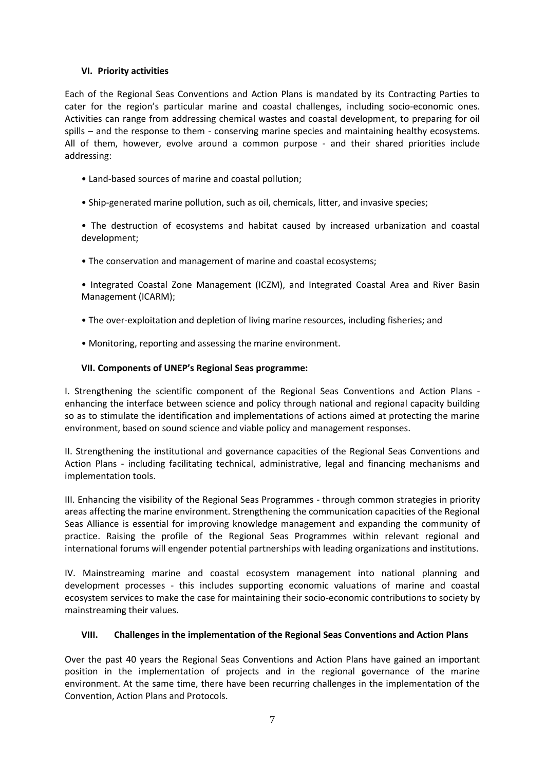# **VI. Priority activities**

Each of the Regional Seas Conventions and Action Plans is mandated by its Contracting Parties to cater for the region's particular marine and coastal challenges, including socio-economic ones. Activities can range from addressing chemical wastes and coastal development, to preparing for oil spills – and the response to them - conserving marine species and maintaining healthy ecosystems. All of them, however, evolve around a common purpose - and their shared priorities include addressing:

- Land-based sources of marine and coastal pollution;
- Ship-generated marine pollution, such as oil, chemicals, litter, and invasive species;

• The destruction of ecosystems and habitat caused by increased urbanization and coastal development;

• The conservation and management of marine and coastal ecosystems;

• Integrated Coastal Zone Management (ICZM), and Integrated Coastal Area and River Basin Management (ICARM);

- The over-exploitation and depletion of living marine resources, including fisheries; and
- Monitoring, reporting and assessing the marine environment.

# **VII. Components of UNEP's Regional Seas programme:**

I. Strengthening the scientific component of the Regional Seas Conventions and Action Plans enhancing the interface between science and policy through national and regional capacity building so as to stimulate the identification and implementations of actions aimed at protecting the marine environment, based on sound science and viable policy and management responses.

II. Strengthening the institutional and governance capacities of the Regional Seas Conventions and Action Plans - including facilitating technical, administrative, legal and financing mechanisms and implementation tools.

III. Enhancing the visibility of the Regional Seas Programmes - through common strategies in priority areas affecting the marine environment. Strengthening the communication capacities of the Regional Seas Alliance is essential for improving knowledge management and expanding the community of practice. Raising the profile of the Regional Seas Programmes within relevant regional and international forums will engender potential partnerships with leading organizations and institutions.

IV. Mainstreaming marine and coastal ecosystem management into national planning and development processes - this includes supporting economic valuations of marine and coastal ecosystem services to make the case for maintaining their socio-economic contributions to society by mainstreaming their values.

#### **VIII. Challenges in the implementation of the Regional Seas Conventions and Action Plans**

Over the past 40 years the Regional Seas Conventions and Action Plans have gained an important position in the implementation of projects and in the regional governance of the marine environment. At the same time, there have been recurring challenges in the implementation of the Convention, Action Plans and Protocols.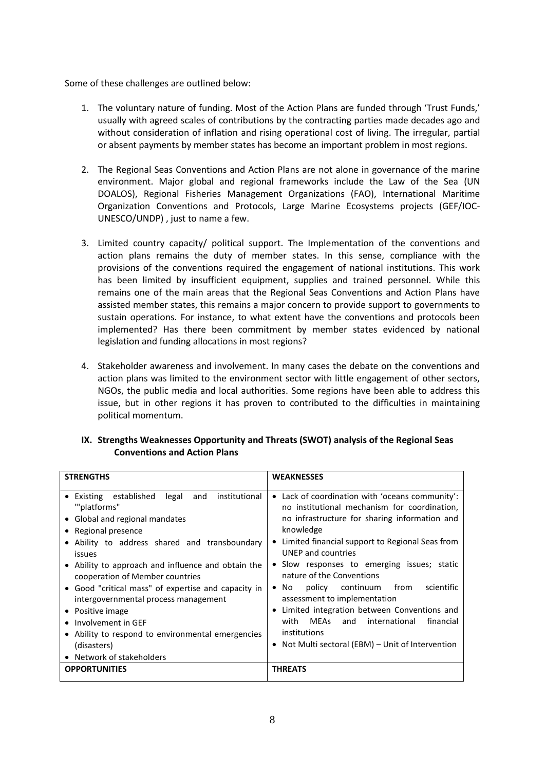Some of these challenges are outlined below:

- 1. The voluntary nature of funding. Most of the Action Plans are funded through 'Trust Funds,' usually with agreed scales of contributions by the contracting parties made decades ago and without consideration of inflation and rising operational cost of living. The irregular, partial or absent payments by member states has become an important problem in most regions.
- 2. The Regional Seas Conventions and Action Plans are not alone in governance of the marine environment. Major global and regional frameworks include the Law of the Sea (UN DOALOS), Regional Fisheries Management Organizations (FAO), International Maritime Organization Conventions and Protocols, Large Marine Ecosystems projects (GEF/IOC-UNESCO/UNDP) , just to name a few.
- 3. Limited country capacity/ political support. The Implementation of the conventions and action plans remains the duty of member states. In this sense, compliance with the provisions of the conventions required the engagement of national institutions. This work has been limited by insufficient equipment, supplies and trained personnel. While this remains one of the main areas that the Regional Seas Conventions and Action Plans have assisted member states, this remains a major concern to provide support to governments to sustain operations. For instance, to what extent have the conventions and protocols been implemented? Has there been commitment by member states evidenced by national legislation and funding allocations in most regions?
- 4. Stakeholder awareness and involvement. In many cases the debate on the conventions and action plans was limited to the environment sector with little engagement of other sectors, NGOs, the public media and local authorities. Some regions have been able to address this issue, but in other regions it has proven to contributed to the difficulties in maintaining political momentum.

| <b>STRENGTHS</b>                                                                                                                                                                                                                                                                                                                                                                                                                                                                                                                 | <b>WEAKNESSES</b>                                                                                                                                                                                                                                                                                                                                                                                                                                                                                                                                                                       |
|----------------------------------------------------------------------------------------------------------------------------------------------------------------------------------------------------------------------------------------------------------------------------------------------------------------------------------------------------------------------------------------------------------------------------------------------------------------------------------------------------------------------------------|-----------------------------------------------------------------------------------------------------------------------------------------------------------------------------------------------------------------------------------------------------------------------------------------------------------------------------------------------------------------------------------------------------------------------------------------------------------------------------------------------------------------------------------------------------------------------------------------|
| • Existing established<br>legal<br>institutional<br>and<br>"'platforms"<br>• Global and regional mandates<br>• Regional presence<br>• Ability to address shared and transboundary<br>issues<br>• Ability to approach and influence and obtain the<br>cooperation of Member countries<br>• Good "critical mass" of expertise and capacity in<br>intergovernmental process management<br>• Positive image<br>• Involvement in GEF<br>• Ability to respond to environmental emergencies<br>(disasters)<br>• Network of stakeholders | • Lack of coordination with 'oceans community':<br>no institutional mechanism for coordination,<br>no infrastructure for sharing information and<br>knowledge<br>Limited financial support to Regional Seas from<br>UNEP and countries<br>• Slow responses to emerging issues; static<br>nature of the Conventions<br>scientific<br>continuum from<br>policy<br>$\bullet$ No<br>assessment to implementation<br>Limited integration between Conventions and<br>٠<br>MEAs<br>with<br>and international<br>financial<br>institutions<br>• Not Multi sectoral (EBM) – Unit of Intervention |
| <b>OPPORTUNITIES</b>                                                                                                                                                                                                                                                                                                                                                                                                                                                                                                             | <b>THREATS</b>                                                                                                                                                                                                                                                                                                                                                                                                                                                                                                                                                                          |

# **IX. Strengths Weaknesses Opportunity and Threats (SWOT) analysis of the Regional Seas Conventions and Action Plans**